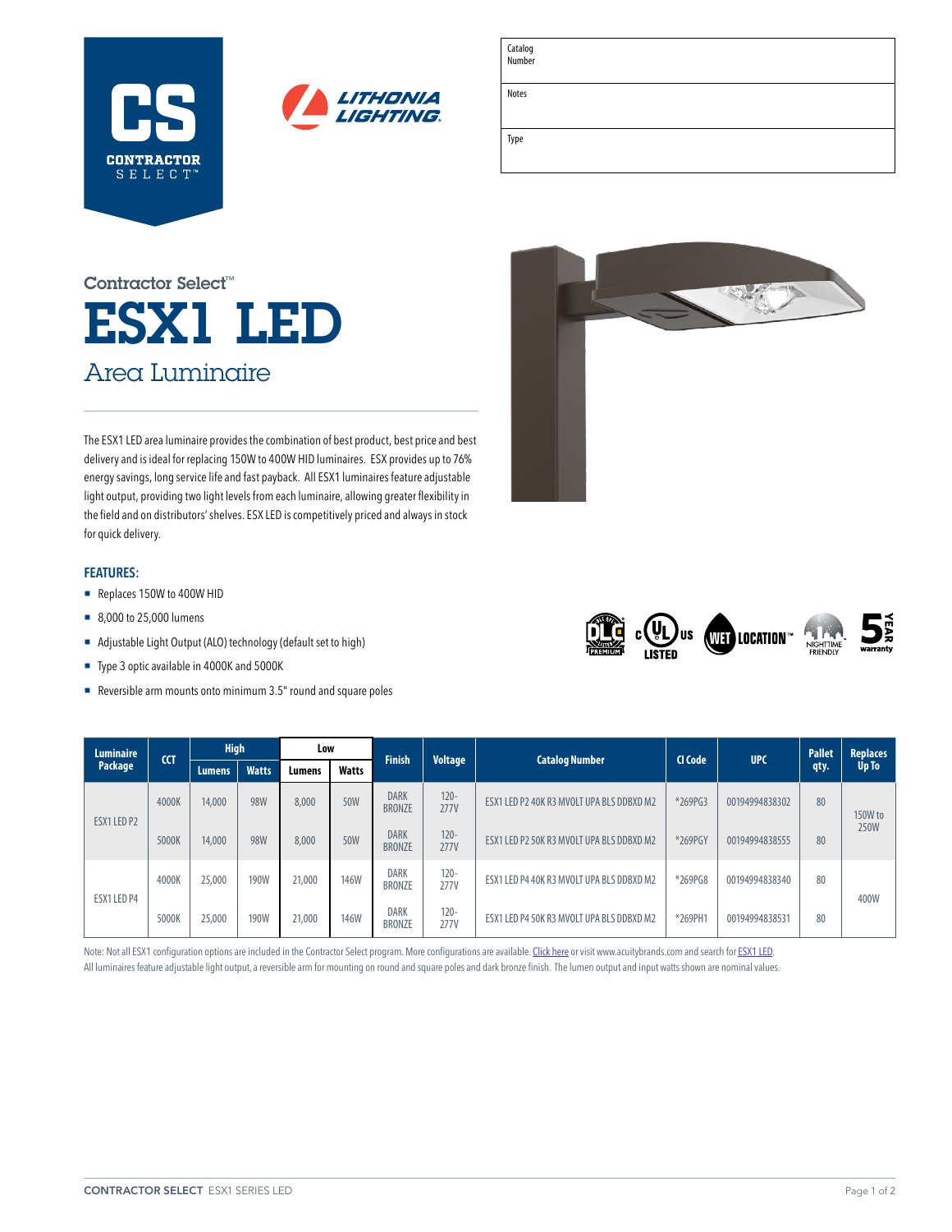



| Catalog<br>Number |  |
|-------------------|--|
| <b>Notes</b>      |  |
| Type              |  |

# ESX1 LED Area Luminaire Contractor Select™

The ESX1 LED area luminaire provides the combination of best product, best price and best delivery and is ideal for replacing 150W to 400W HID luminaires. ESX provides up to 76% energy savings, long service life and fast payback. All ESX1 luminaires feature adjustable light output, providing two light levels from each luminaire, allowing greater flexibility in the field and on distributors' shelves. ESX LED is competitively priced and always in stock for quick delivery.

### **FEATURES:**

- Replaces 150W to 400W HID
- 8,000 to 25,000 lumens
- ¡ Adjustable Light Output (ALO) technology (default set to high)
- ¡ Type 3 optic available in 4000K and 5000K
- Reversible arm mounts onto minimum 3.5" round and square poles





| <b>Luminaire</b> | <b>CCT</b> | <b>High</b>   |              | Low    |              |                              | <b>Finish</b><br><b>Voltage</b> |                                           | <b>Catalog Number</b> | CI Code        | <b>UPC</b> | <b>Pallet</b> | <b>Replaces</b> |
|------------------|------------|---------------|--------------|--------|--------------|------------------------------|---------------------------------|-------------------------------------------|-----------------------|----------------|------------|---------------|-----------------|
| Package          |            | <b>Lumens</b> | <b>Watts</b> | Lumens | <b>Watts</b> |                              |                                 |                                           |                       |                | qty.       | Up To         |                 |
| ESX1 LED P2      | 4000K      | 14,000        | 98W          | 8,000  | 50W          | <b>DARK</b><br><b>BRONZE</b> | $120 -$<br><b>277V</b>          | ESX1 LED P2 40K R3 MVOLT UPA BLS DDBXD M2 | *269PG3               | 00194994838302 | 80         | 150W to       |                 |
|                  | 5000K      | 14,000        | 98W          | 8,000  | 50W          | <b>DARK</b><br><b>BRONZE</b> | $120 -$<br><b>277V</b>          | ESX1 LED P2 50K R3 MVOLT UPA BLS DDBXD M2 | *269PGY               | 00194994838555 | 80         | 250W          |                 |
|                  | 4000K      | 25,000        | 190W         | 21,000 | <b>146W</b>  | <b>DARK</b><br><b>BRONZE</b> | $120 -$<br><b>277V</b>          | ESX1 LED P4 40K R3 MVOLT UPA BLS DDBXD M2 | *269PG8               | 00194994838340 | 80         |               |                 |
| ESX1 LED P4      | 5000K      | 25,000        | <b>190W</b>  | 21,000 | <b>146W</b>  | <b>DARK</b><br><b>BRONZE</b> | $120 -$<br><b>277V</b>          | ESX1 LED P4 50K R3 MVOLT UPA BLS DDBXD M2 | *269PH1               | 00194994838531 | 80         | 400W          |                 |

Note: Not all ESX1 configuration options are included in the Contractor Select program. More configurations are available. [Click here](https://acuitybrands.com/products/detail/1307323/lithonia-lighting/esx1-led-area-luminaire/two-packages---7000-to-27000-lumens) or visit [www.acuitybrands.com](http://www.acuitybrands.com) and search for [ESX1 LED.](https://acuitybrands.com/products/detail/1307323/lithonia-lighting/esx1-led-area-luminaire/two-packages---7000-to-27000-lumens)

All luminaires feature adjustable light output, a reversible arm for mounting on round and square poles and dark bronze finish. The lumen output and input watts shown are nominal values.